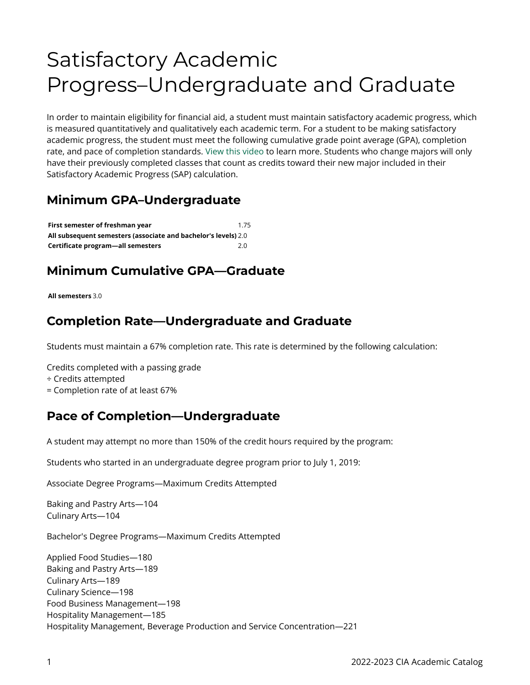# Satisfactory Academic Progress–Undergraduate and Graduate

In order to maintain eligibility for financial aid, a student must maintain satisfactory academic progress, which is measured quantitatively and qualitatively each academic term. For a student to be making satisfactory academic progress, the student must meet the following cumulative grade point average (GPA), completion rate, and pace of completion standards. [View this video](http://ciachef.financialaidtv.com/#playlist-14907:video-6) to learn more. Students who change majors will only have their previously completed classes that count as credits toward their new major included in their Satisfactory Academic Progress (SAP) calculation.

#### **Minimum GPA–Undergraduate**

| First semester of freshman vear                                | 1.75 |
|----------------------------------------------------------------|------|
| All subsequent semesters (associate and bachelor's levels) 2.0 |      |
| Certificate program-all semesters                              | 2.0  |

# **Minimum Cumulative GPA—Graduate**

#### **All semesters** 3.0

#### **Completion Rate—Undergraduate and Graduate**

Students must maintain a 67% completion rate. This rate is determined by the following calculation:

Credits completed with a passing grade

- ÷ Credits attempted
- = Completion rate of at least 67%

### **Pace of Completion—Undergraduate**

A student may attempt no more than 150% of the credit hours required by the program:

Students who started in an undergraduate degree program prior to July 1, 2019:

Associate Degree Programs—Maximum Credits Attempted

Baking and Pastry Arts—104 Culinary Arts—104

Bachelor's Degree Programs—Maximum Credits Attempted

Applied Food Studies—180 Baking and Pastry Arts—189 Culinary Arts—189 Culinary Science—198 Food Business Management—198 Hospitality Management—185 Hospitality Management, Beverage Production and Service Concentration—221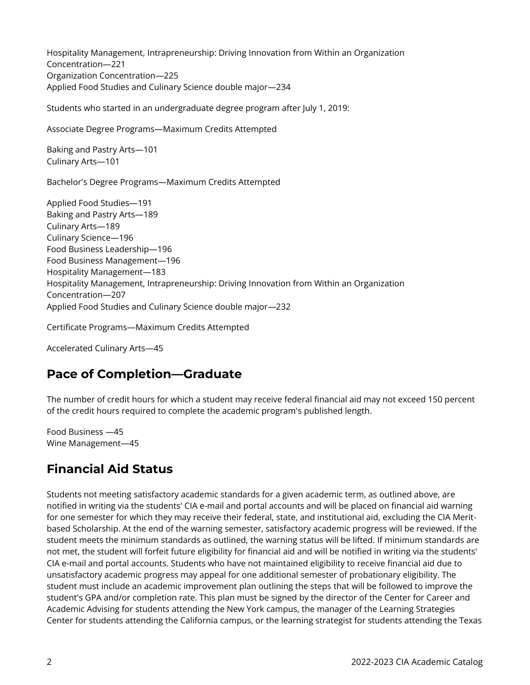Hospitality Management, Intrapreneurship: Driving Innovation from Within an Organization Concentration—221 Organization Concentration—225 Applied Food Studies and Culinary Science double major—234

Students who started in an undergraduate degree program after July 1, 2019:

Associate Degree Programs—Maximum Credits Attempted

Baking and Pastry Arts—101 Culinary Arts—101

Bachelor's Degree Programs—Maximum Credits Attempted

Applied Food Studies—191 Baking and Pastry Arts—189 Culinary Arts—189 Culinary Science—196 Food Business Leadership—196 Food Business Management—196 Hospitality Management—183 Hospitality Management, Intrapreneurship: Driving Innovation from Within an Organization Concentration—207 Applied Food Studies and Culinary Science double major—232

Certificate Programs—Maximum Credits Attempted

Accelerated Culinary Arts—45

#### **Pace of Completion—Graduate**

The number of credit hours for which a student may receive federal financial aid may not exceed 150 percent of the credit hours required to complete the academic program's published length.

Food Business —45 Wine Management—45

### **Financial Aid Status**

Students not meeting satisfactory academic standards for a given academic term, as outlined above, are notified in writing via the students' CIA e-mail and portal accounts and will be placed on financial aid warning for one semester for which they may receive their federal, state, and institutional aid, excluding the CIA Meritbased Scholarship. At the end of the warning semester, satisfactory academic progress will be reviewed. If the student meets the minimum standards as outlined, the warning status will be lifted. If minimum standards are not met, the student will forfeit future eligibility for financial aid and will be notified in writing via the students' CIA e-mail and portal accounts. Students who have not maintained eligibility to receive financial aid due to unsatisfactory academic progress may appeal for one additional semester of probationary eligibility. The student must include an academic improvement plan outlining the steps that will be followed to improve the student's GPA and/or completion rate. This plan must be signed by the director of the Center for Career and Academic Advising for students attending the New York campus, the manager of the Learning Strategies Center for students attending the California campus, or the learning strategist for students attending the Texas